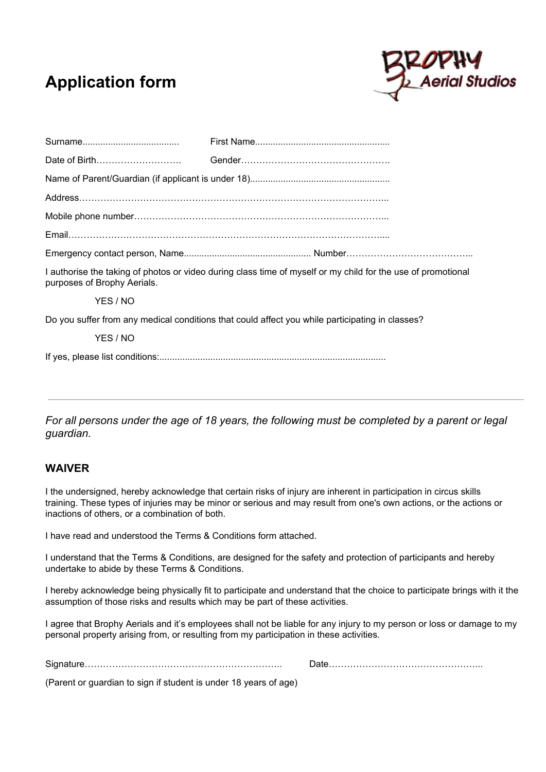# **Application form**



| Date of Birth               |                                                                                                              |
|-----------------------------|--------------------------------------------------------------------------------------------------------------|
|                             |                                                                                                              |
|                             |                                                                                                              |
|                             |                                                                                                              |
|                             |                                                                                                              |
|                             |                                                                                                              |
|                             |                                                                                                              |
| purposes of Brophy Aerials. | I authorise the taking of photos or video during class time of myself or my child for the use of promotional |
| YES / NO                    |                                                                                                              |
|                             | Do you suffer from any medical conditions that could affect you while participating in classes?              |
| YES / NO                    |                                                                                                              |
|                             |                                                                                                              |

*For all persons under the age of 18 years, the following must be completed by a parent or legal guardian.*

## **WAIVER**

I the undersigned, hereby acknowledge that certain risks of injury are inherent in participation in circus skills training. These types of injuries may be minor or serious and may result from one's own actions, or the actions or inactions of others, or a combination of both.

I have read and understood the Terms & Conditions form attached.

I understand that the Terms & Conditions, are designed for the safety and protection of participants and hereby undertake to abide by these Terms & Conditions.

I hereby acknowledge being physically fit to participate and understand that the choice to participate brings with it the assumption of those risks and results which may be part of these activities.

I agree that Brophy Aerials and it's employees shall not be liable for any injury to my person or loss or damage to my personal property arising from, or resulting from my participation in these activities.

Signature……………………………………………………….. Date…………………………………………...

(Parent or guardian to sign if student is under 18 years of age)